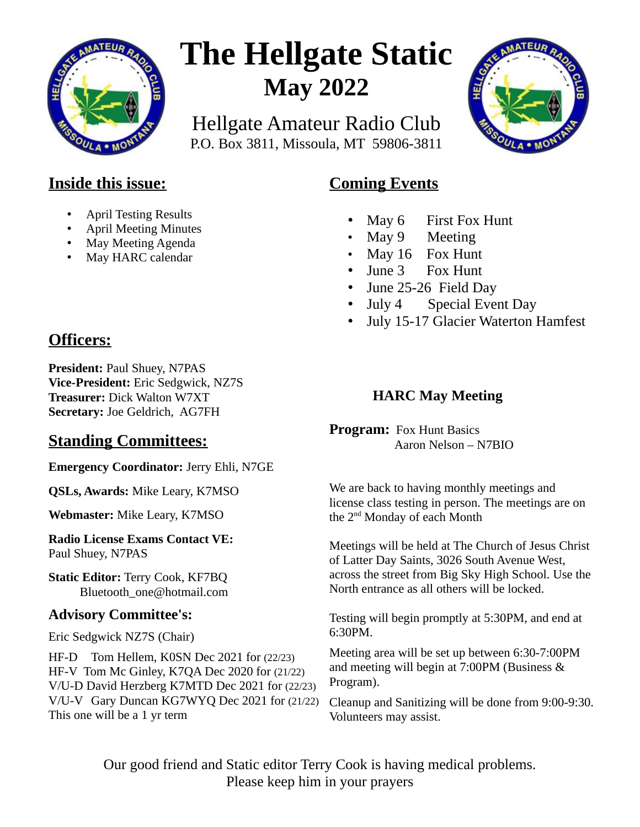

# **The Hellgate Static May 2022**

Hellgate Amateur Radio Club P.O. Box 3811, Missoula, MT 59806-3811



### **Inside this issue:**

- April Testing Results
- April Meeting Minutes
- May Meeting Agenda
- May HARC calendar

## **Officers:**

**President:** Paul Shuey, N7PAS **Vice-President:** Eric Sedgwick, NZ7S **Treasurer:** Dick Walton W7XT **Secretary:** Joe Geldrich, AG7FH

## **Standing Committees:**

**Emergency Coordinator:** Jerry Ehli, N7GE

**QSLs, Awards:** Mike Leary, K7MSO

**Webmaster:** Mike Leary, K7MSO

**Radio License Exams Contact VE:** Paul Shuey, N7PAS

**Static Editor:** Terry Cook, KF7BQ Bluetooth\_one@hotmail.com

#### **Advisory Committee's:**

Eric Sedgwick NZ7S (Chair)

HF-D Tom Hellem, K0SN Dec 2021 for (22/23) HF-V Tom Mc Ginley, K7QA Dec 2020 for (21/22) V/U-D David Herzberg K7MTD Dec 2021 for (22/23) V/U-V Gary Duncan KG7WYQ Dec 2021 for (21/22) This one will be a 1 yr term

## **Coming Events**

- May 6 First Fox Hunt
- May 9 Meeting
- May 16 Fox Hunt
- June 3 Fox Hunt
- June 25-26 Field Day
- July 4 Special Event Day
- July 15-17 Glacier Waterton Hamfest

#### **HARC May Meeting**

**Program:** Fox Hunt Basics Aaron Nelson – N7BIO

We are back to having monthly meetings and license class testing in person. The meetings are on the 2<sup>nd</sup> Monday of each Month

Meetings will be held at The Church of Jesus Christ of Latter Day Saints, 3026 South Avenue West, across the street from Big Sky High School. Use the North entrance as all others will be locked.

Testing will begin promptly at 5:30PM, and end at 6:30PM.

Meeting area will be set up between 6:30-7:00PM and meeting will begin at 7:00PM (Business & Program).

Cleanup and Sanitizing will be done from 9:00-9:30. Volunteers may assist.

Our good friend and Static editor Terry Cook is having medical problems. Please keep him in your prayers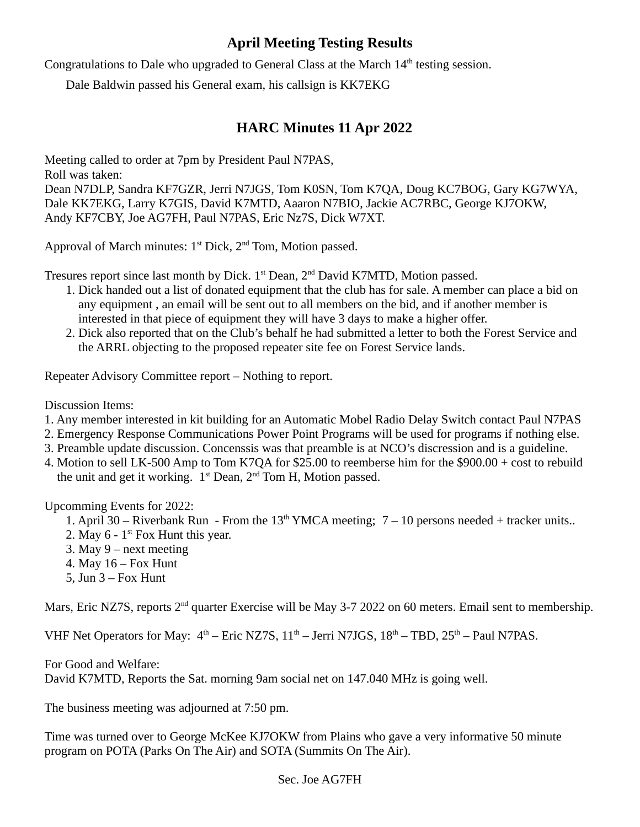#### **April Meeting Testing Results**

Congratulations to Dale who upgraded to General Class at the March 14<sup>th</sup> testing session.

Dale Baldwin passed his General exam, his callsign is KK7EKG

#### **HARC Minutes 11 Apr 2022**

Meeting called to order at 7pm by President Paul N7PAS,

Roll was taken:

Dean N7DLP, Sandra KF7GZR, Jerri N7JGS, Tom K0SN, Tom K7QA, Doug KC7BOG, Gary KG7WYA, Dale KK7EKG, Larry K7GIS, David K7MTD, Aaaron N7BIO, Jackie AC7RBC, George KJ7OKW, Andy KF7CBY, Joe AG7FH, Paul N7PAS, Eric Nz7S, Dick W7XT.

Approval of March minutes:  $1<sup>st</sup>$  Dick,  $2<sup>nd</sup>$  Tom, Motion passed.

Tresures report since last month by Dick. 1<sup>st</sup> Dean, 2<sup>nd</sup> David K7MTD, Motion passed.

- 1. Dick handed out a list of donated equipment that the club has for sale. A member can place a bid on any equipment , an email will be sent out to all members on the bid, and if another member is interested in that piece of equipment they will have 3 days to make a higher offer.
- 2. Dick also reported that on the Club's behalf he had submitted a letter to both the Forest Service and the ARRL objecting to the proposed repeater site fee on Forest Service lands.

Repeater Advisory Committee report – Nothing to report.

Discussion Items:

- 1. Any member interested in kit building for an Automatic Mobel Radio Delay Switch contact Paul N7PAS
- 2. Emergency Response Communications Power Point Programs will be used for programs if nothing else.
- 3. Preamble update discussion. Concenssis was that preamble is at NCO's discression and is a guideline.
- 4. Motion to sell LK-500 Amp to Tom K7QA for \$25.00 to reemberse him for the \$900.00 + cost to rebuild the unit and get it working. 1<sup>st</sup> Dean, 2<sup>nd</sup> Tom H, Motion passed.

Upcomming Events for 2022:

- 1. April 30 Riverbank Run From the  $13<sup>th</sup>$  YMCA meeting; 7 10 persons needed + tracker units..
- 2. May  $6 1$ <sup>st</sup> Fox Hunt this year.
- 3. May 9 next meeting
- 4. May 16 Fox Hunt
- 5, Jun  $3 Fox$  Hunt

Mars, Eric NZ7S, reports 2<sup>nd</sup> quarter Exercise will be May 3-7 2022 on 60 meters. Email sent to membership.

VHF Net Operators for May:  $4<sup>th</sup>$  – Eric NZ7S,  $11<sup>th</sup>$  – Jerri N7JGS,  $18<sup>th</sup>$  – TBD,  $25<sup>th</sup>$  – Paul N7PAS.

For Good and Welfare:

David K7MTD, Reports the Sat. morning 9am social net on 147.040 MHz is going well.

The business meeting was adjourned at 7:50 pm.

Time was turned over to George McKee KJ7OKW from Plains who gave a very informative 50 minute program on POTA (Parks On The Air) and SOTA (Summits On The Air).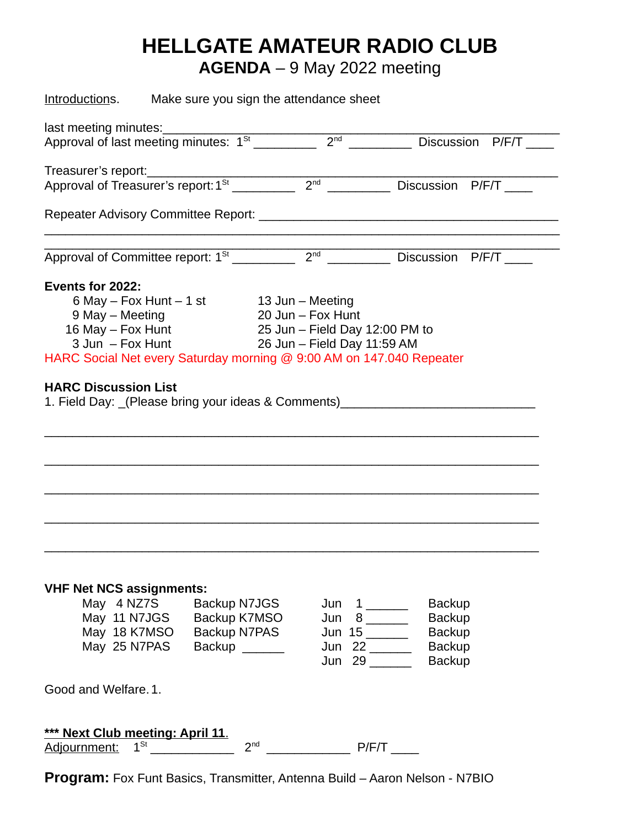## **HELLGATE AMATEUR RADIO CLUB**

**AGENDA** – 9 May 2022 meeting

| Introductions. Make sure you sign the attendance sheet                                                                                      |                 |                   |                                                                                   |  |  |  |  |  |  |
|---------------------------------------------------------------------------------------------------------------------------------------------|-----------------|-------------------|-----------------------------------------------------------------------------------|--|--|--|--|--|--|
| last meeting minutes:                                                                                                                       |                 |                   |                                                                                   |  |  |  |  |  |  |
|                                                                                                                                             |                 |                   | Discussion P/F/T                                                                  |  |  |  |  |  |  |
| Treasurer's report:                                                                                                                         |                 |                   |                                                                                   |  |  |  |  |  |  |
|                                                                                                                                             |                 |                   |                                                                                   |  |  |  |  |  |  |
|                                                                                                                                             |                 |                   |                                                                                   |  |  |  |  |  |  |
| Approval of Committee report: $1^{St}$ 2 <sup>nd</sup> 2 <sup>nd</sup> Discussion P/F/T                                                     |                 |                   |                                                                                   |  |  |  |  |  |  |
| Events for 2022:                                                                                                                            |                 |                   |                                                                                   |  |  |  |  |  |  |
| $6$ May - Fox Hunt - 1 st 13 Jun - Meeting                                                                                                  |                 |                   |                                                                                   |  |  |  |  |  |  |
| 9 May - Meeting                                                                                                                             |                 | 20 Jun - Fox Hunt |                                                                                   |  |  |  |  |  |  |
| 16 May - Fox Hunt 25 Jun - Field Day 12:00 PM to<br>26 Jun - Field Day 11:59 AM                                                             |                 |                   |                                                                                   |  |  |  |  |  |  |
| $3$ Jun $-$ Fox Hunt                                                                                                                        |                 |                   |                                                                                   |  |  |  |  |  |  |
| HARC Social Net every Saturday morning @ 9:00 AM on 147.040 Repeater                                                                        |                 |                   |                                                                                   |  |  |  |  |  |  |
|                                                                                                                                             |                 |                   |                                                                                   |  |  |  |  |  |  |
| <b>VHF Net NCS assignments:</b><br>May 4 NZ7S Backup N7JGS<br>May 11 N7JGS Backup K7MSO<br>May 18 K7MSO Backup N7PAS<br>May 25 N7PAS Backup |                 |                   | <b>Backup</b><br><b>Backup</b><br><b>Backup</b><br><b>Backup</b><br><b>Backup</b> |  |  |  |  |  |  |
| Good and Welfare. 1.                                                                                                                        |                 |                   |                                                                                   |  |  |  |  |  |  |
| *** Next Club meeting: April 11.<br>Adjournment: 1 <sup>st</sup>                                                                            | 2 <sup>nd</sup> | <b>P/F/T</b>      |                                                                                   |  |  |  |  |  |  |

**Program:** Fox Funt Basics, Transmitter, Antenna Build – Aaron Nelson - N7BIO